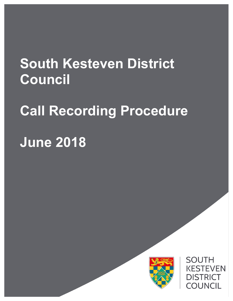# **South Kesteven District Council**

# **Call Recording Procedure**

# **June 2018**



**SOUTH KESTEVEN DISTRICT COUNCIL**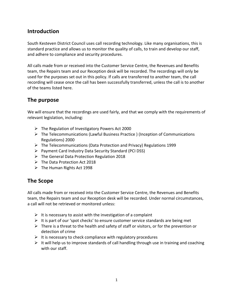### **Introduction**

South Kesteven District Council uses call recording technology. Like many organisations, this is standard practice and allows us to monitor the quality of calls, to train and develop our staff, and adhere to compliance and security procedures.

All calls made from or received into the Customer Service Centre, the Revenues and Benefits team, the Repairs team and our Reception desk will be recorded. The recordings will only be used for the purposes set out in this policy. If calls are transferred to another team, the call recording will cease once the call has been successfully transferred, unless the call is to another of the teams listed here.

## **The purpose**

We will ensure that the recordings are used fairly, and that we comply with the requirements of relevant legislation, including:

- $\triangleright$  The Regulation of Investigatory Powers Act 2000
- $\triangleright$  The Telecommunications (Lawful Business Practice ) (Inception of Communications Regulations) 2000
- $\triangleright$  The Telecommunications (Data Protection and Privacy) Regulations 1999
- $\triangleright$  Payment Card Industry Data Security Standard (PCI DSS)
- $\triangleright$  The General Data Protection Regulation 2018
- $\triangleright$  The Data Protection Act 2018
- $\triangleright$  The Human Rights Act 1998

#### **The Scope**

All calls made from or received into the Customer Service Centre, the Revenues and Benefits team, the Repairs team and our Reception desk will be recorded. Under normal circumstances, a call will not be retrieved or monitored unless:

- $\triangleright$  It is necessary to assist with the investigation of a complaint
- $\triangleright$  It is part of our 'spot checks' to ensure customer service standards are being met
- $\triangleright$  There is a threat to the health and safety of staff or visitors, or for the prevention or detection of crime
- $\triangleright$  It is necessary to check compliance with regulatory procedures
- $\triangleright$  It will help us to improve standards of call handling through use in training and coaching with our staff.